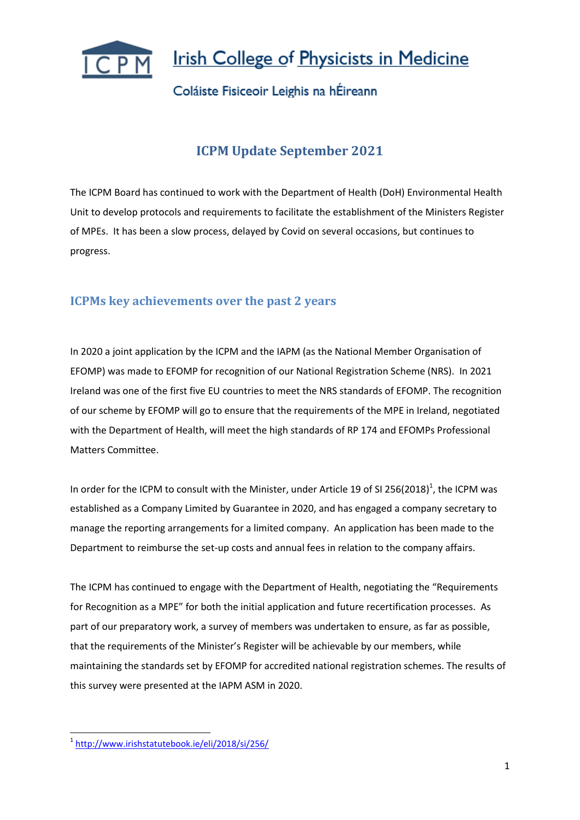

### Coláiste Fisiceoir Leighis na hÉireann

## **ICPM Update September 2021**

The ICPM Board has continued to work with the Department of Health (DoH) Environmental Health Unit to develop protocols and requirements to facilitate the establishment of the Ministers Register of MPEs. It has been a slow process, delayed by Covid on several occasions, but continues to progress.

#### **ICPMs key achievements over the past 2 years**

In 2020 a joint application by the ICPM and the IAPM (as the National Member Organisation of EFOMP) was made to EFOMP for recognition of our National Registration Scheme (NRS). In 2021 Ireland was one of the first five EU countries to meet the NRS standards of EFOMP. The recognition of our scheme by EFOMP will go to ensure that the requirements of the MPE in Ireland, negotiated with the Department of Health, will meet the high standards of RP 174 and EFOMPs Professional Matters Committee.

In order for the ICPM to consult with the Minister, under Article 19 of SI 256(2018)<sup>1</sup>, the ICPM was established as a Company Limited by Guarantee in 2020, and has engaged a company secretary to manage the reporting arrangements for a limited company. An application has been made to the Department to reimburse the set-up costs and annual fees in relation to the company affairs.

The ICPM has continued to engage with the Department of Health, negotiating the "Requirements for Recognition as a MPE" for both the initial application and future recertification processes. As part of our preparatory work, a survey of members was undertaken to ensure, as far as possible, that the requirements of the Minister's Register will be achievable by our members, while maintaining the standards set by EFOMP for accredited national registration schemes. The results of this survey were presented at the IAPM ASM in 2020.

n<br>1 <http://www.irishstatutebook.ie/eli/2018/si/256/>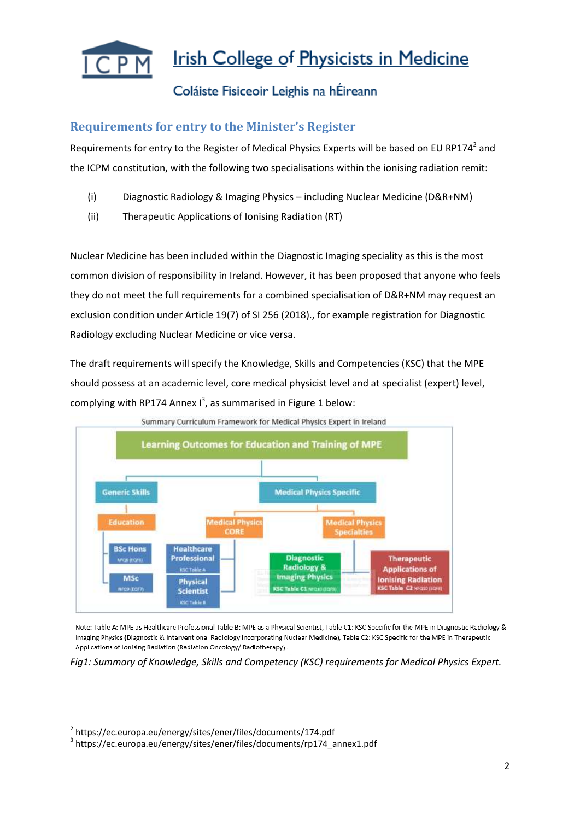

### Coláiste Fisiceoir Leighis na hÉireann

#### **Requirements for entry to the Minister's Register**

Requirements for entry to the Register of Medical Physics Experts will be based on EU RP174<sup>2</sup> and the ICPM constitution, with the following two specialisations within the ionising radiation remit:

- (i) Diagnostic Radiology & Imaging Physics including Nuclear Medicine (D&R+NM)
- (ii) Therapeutic Applications of Ionising Radiation (RT)

Nuclear Medicine has been included within the Diagnostic Imaging speciality as this is the most common division of responsibility in Ireland. However, it has been proposed that anyone who feels they do not meet the full requirements for a combined specialisation of D&R+NM may request an exclusion condition under Article 19(7) of SI 256 (2018)., for example registration for Diagnostic Radiology excluding Nuclear Medicine or vice versa.

The draft requirements will specify the Knowledge, Skills and Competencies (KSC) that the MPE should possess at an academic level, core medical physicist level and at specialist (expert) level, complying with RP174 Annex  $I^3$ , as summarised in Figure 1 below:



Summary Curriculum Framework for Medical Physics Expert in Ireland

Note: Table A: MPE as Healthcare Professional Table B: MPE as a Physical Scientist, Table C1: KSC Specific for the MPE in Diagnostic Radiology & Imaging Physics (Diagnostic & Interventional Radiology incorporating Nuclear Medicine), Table C2: KSC Specific for the MPE in Therapeutic Applications of Ionising Radiation (Radiation Oncology/ Radiotherapy)

*Fig1: Summary of Knowledge, Skills and Competency (KSC) requirements for Medical Physics Expert.*

**.** 

<sup>2</sup> https://ec.europa.eu/energy/sites/ener/files/documents/174.pdf

<sup>3</sup> https://ec.europa.eu/energy/sites/ener/files/documents/rp174\_annex1.pdf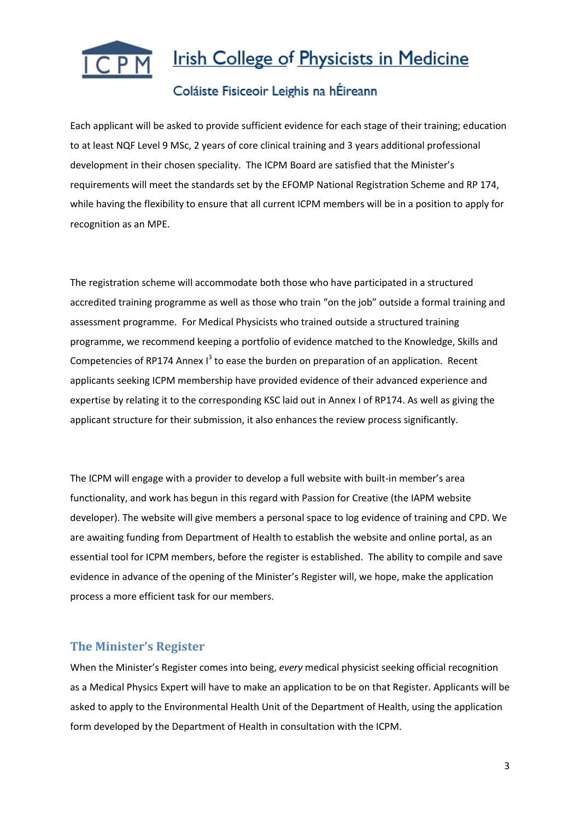

### Coláiste Fisiceoir Leighis na hÉireann

Each applicant will be asked to provide sufficient evidence for each stage of their training; education to at least NQF Level 9 MSc, 2 years of core clinical training and 3 years additional professional development in their chosen speciality. The ICPM Board are satisfied that the Minister's requirements will meet the standards set by the EFOMP National Registration Scheme and RP 174, while having the flexibility to ensure that all current ICPM members will be in a position to apply for recognition as an MPE.

The registration scheme will accommodate both those who have participated in a structured accredited training programme as well as those who train "on the job" outside a formal training and assessment programme. For Medical Physicists who trained outside a structured training programme, we recommend keeping a portfolio of evidence matched to the Knowledge, Skills and Competencies of RP174 Annex  $I<sup>3</sup>$  to ease the burden on preparation of an application. Recent applicants seeking ICPM membership have provided evidence of their advanced experience and expertise by relating it to the corresponding KSC laid out in Annex I of RP174. As well as giving the applicant structure for their submission, it also enhances the review process significantly.

The ICPM will engage with a provider to develop a full website with built-in member's area functionality, and work has begun in this regard with Passion for Creative (the IAPM website developer). The website will give members a personal space to log evidence of training and CPD. We are awaiting funding from Department of Health to establish the website and online portal, as an essential tool for ICPM members, before the register is established. The ability to compile and save evidence in advance of the opening of the Minister's Register will, we hope, make the application process a more efficient task for our members.

#### **The Minister's Register**

When the Minister's Register comes into being, *every* medical physicist seeking official recognition as a Medical Physics Expert will have to make an application to be on that Register. Applicants will be asked to apply to the Environmental Health Unit of the Department of Health, using the application form developed by the Department of Health in consultation with the ICPM.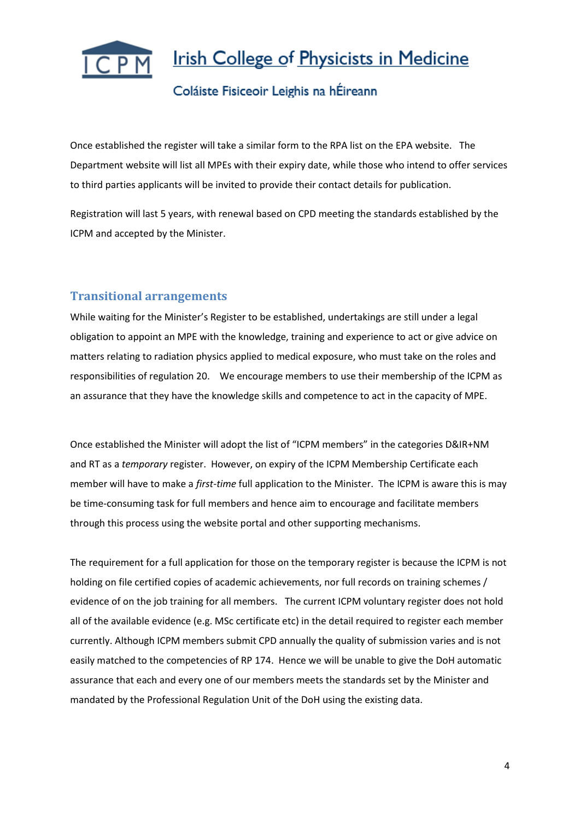

### Coláiste Fisiceoir Leighis na hÉireann

Once established the register will take a similar form to the RPA list on the EPA website. The Department website will list all MPEs with their expiry date, while those who intend to offer services to third parties applicants will be invited to provide their contact details for publication.

Registration will last 5 years, with renewal based on CPD meeting the standards established by the ICPM and accepted by the Minister.

#### **Transitional arrangements**

While waiting for the Minister's Register to be established, undertakings are still under a legal obligation to appoint an MPE with the knowledge, training and experience to act or give advice on matters relating to radiation physics applied to medical exposure, who must take on the roles and responsibilities of regulation 20. We encourage members to use their membership of the ICPM as an assurance that they have the knowledge skills and competence to act in the capacity of MPE.

Once established the Minister will adopt the list of "ICPM members" in the categories D&IR+NM and RT as a *temporary* register. However, on expiry of the ICPM Membership Certificate each member will have to make a *first-time* full application to the Minister. The ICPM is aware this is may be time-consuming task for full members and hence aim to encourage and facilitate members through this process using the website portal and other supporting mechanisms.

The requirement for a full application for those on the temporary register is because the ICPM is not holding on file certified copies of academic achievements, nor full records on training schemes / evidence of on the job training for all members. The current ICPM voluntary register does not hold all of the available evidence (e.g. MSc certificate etc) in the detail required to register each member currently. Although ICPM members submit CPD annually the quality of submission varies and is not easily matched to the competencies of RP 174. Hence we will be unable to give the DoH automatic assurance that each and every one of our members meets the standards set by the Minister and mandated by the Professional Regulation Unit of the DoH using the existing data.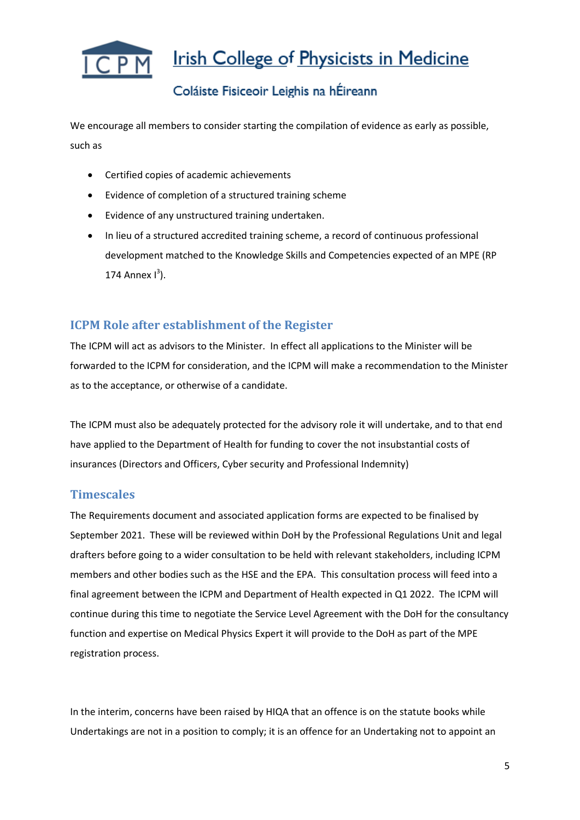

## Coláiste Fisiceoir Leighis na hÉireann

We encourage all members to consider starting the compilation of evidence as early as possible, such as

- Certified copies of academic achievements
- Evidence of completion of a structured training scheme
- Evidence of any unstructured training undertaken.
- In lieu of a structured accredited training scheme, a record of continuous professional development matched to the Knowledge Skills and Competencies expected of an MPE (RP 174 Annex  $I^3$ ).

#### **ICPM Role after establishment of the Register**

The ICPM will act as advisors to the Minister. In effect all applications to the Minister will be forwarded to the ICPM for consideration, and the ICPM will make a recommendation to the Minister as to the acceptance, or otherwise of a candidate.

The ICPM must also be adequately protected for the advisory role it will undertake, and to that end have applied to the Department of Health for funding to cover the not insubstantial costs of insurances (Directors and Officers, Cyber security and Professional Indemnity)

#### **Timescales**

The Requirements document and associated application forms are expected to be finalised by September 2021. These will be reviewed within DoH by the Professional Regulations Unit and legal drafters before going to a wider consultation to be held with relevant stakeholders, including ICPM members and other bodies such as the HSE and the EPA. This consultation process will feed into a final agreement between the ICPM and Department of Health expected in Q1 2022. The ICPM will continue during this time to negotiate the Service Level Agreement with the DoH for the consultancy function and expertise on Medical Physics Expert it will provide to the DoH as part of the MPE registration process.

In the interim, concerns have been raised by HIQA that an offence is on the statute books while Undertakings are not in a position to comply; it is an offence for an Undertaking not to appoint an